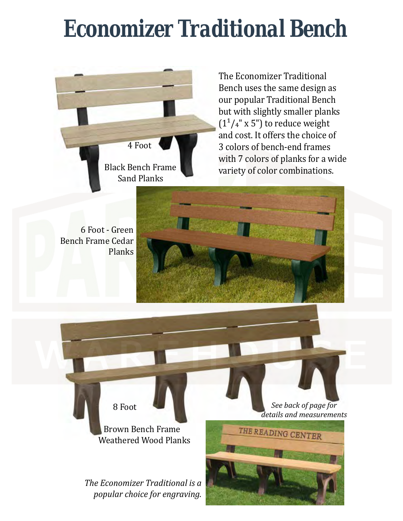## *Economizer Traditional Bench*



 and cost. It offers the choice of The Economizer Traditional Bench uses the same design as our popular Traditional Bench but with slightly smaller planks  $(1<sup>1</sup>/4"$  x 5") to reduce weight 3 colors of bench-end frames with 7 colors of planks for a wide variety of color combinations.

6 Foot - Green Bench Frame Cedar Planks



 Brown Bench Frame Weathered Wood Planks

8 Foot

*The Economizer Traditional is a popular choice for engraving.*

*See back of page for details and measurements*

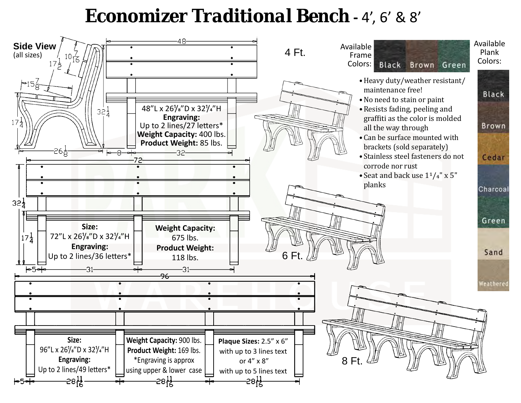## *Economizer Traditional Bench* **-** 4', 6' & 8'

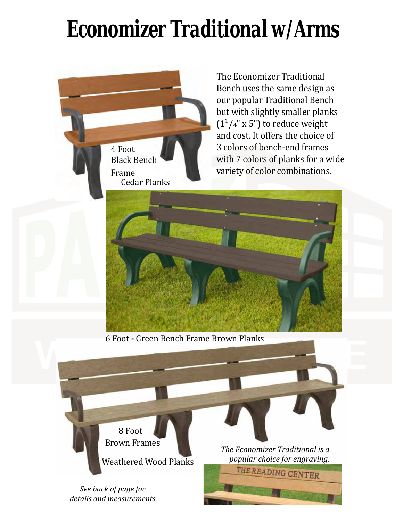## *Economizer Traditional w/Arms*

 4 Foot Black Bench Frame Cedar Planks

 our popular Traditional Bench  and cost. It offers the choice of The Economizer Traditional Bench uses the same design as but with slightly smaller planks  $(1<sup>1</sup>/4"$  x 5") to reduce weight 3 colors of bench-end frames with 7 colors of planks for a wide variety of color combinations.



6 Foot **-** Green Bench Frame Brown Planks

8 Foot Brown Frames Weathered Wood Planks

*See back of page for details and measurements* *The Economizer Traditional is a popular choice for engraving.*